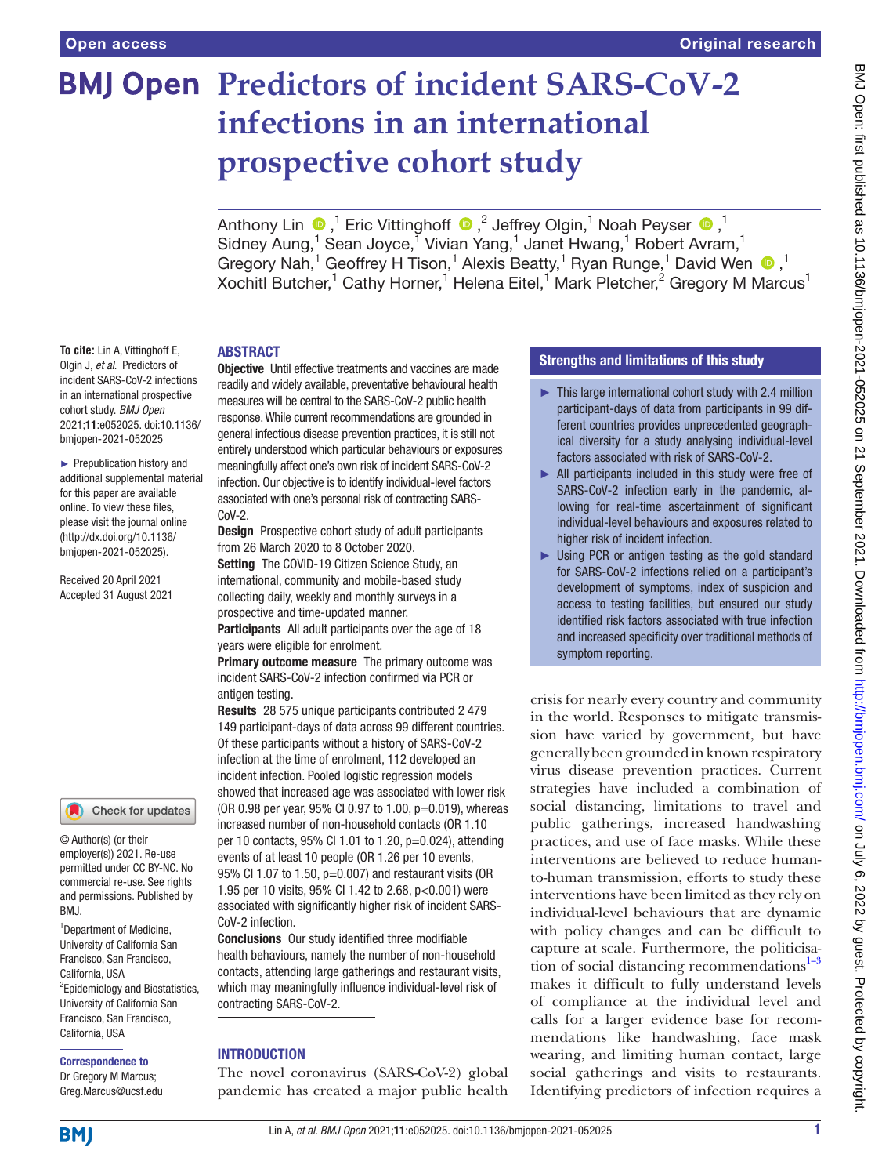# **BMJ Open Predictors of incident SARS-CoV-2 infections in an international prospective cohort study**

AnthonyLin  $\bigcirc$  ,<sup>1</sup> Eric Vittinghoff  $\bigcirc$  ,<sup>2</sup> Jeffrey Olgin,<sup>1</sup> Noah Peyser  $\bigcirc$  ,<sup>1</sup> Sidney Aung,<sup>1</sup> Sean Joyce,<sup>1</sup> Vivian Yang,<sup>1</sup> Janet Hwang,<sup>1</sup> Robert Avram,<sup>1</sup> Gregory Nah,<sup>1</sup> Geoffrey H Tison,<sup>1</sup> Alexis Beatty,<sup>1</sup> Ryan Runge,<sup>1</sup> David Wen  $\bigcirc$ ,<sup>1</sup> Xochitl Butcher,<sup>1</sup> Cathy Horner,<sup>1</sup> Helena Eitel,<sup>1</sup> Mark Pletcher,<sup>2</sup> Gregory M Marcus<sup>1</sup>

#### ABSTRACT

**To cite:** Lin A, Vittinghoff E, Olgin J, *et al*. Predictors of incident SARS-CoV-2 infections in an international prospective cohort study. *BMJ Open* 2021;11:e052025. doi:10.1136/ bmjopen-2021-052025

► Prepublication history and additional supplemental material for this paper are available online. To view these files, please visit the journal online [\(http://dx.doi.org/10.1136/](http://dx.doi.org/10.1136/bmjopen-2021-052025) [bmjopen-2021-052025](http://dx.doi.org/10.1136/bmjopen-2021-052025)).

Received 20 April 2021 Accepted 31 August 2021



© Author(s) (or their employer(s)) 2021. Re-use permitted under CC BY-NC. No commercial re-use. See rights and permissions. Published by BMJ.

<sup>1</sup>Department of Medicine, University of California San Francisco, San Francisco, California, USA <sup>2</sup> Epidemiology and Biostatistics, University of California San Francisco, San Francisco, California, USA

# Correspondence to

Dr Gregory M Marcus; Greg.Marcus@ucsf.edu **Objective** Until effective treatments and vaccines are made readily and widely available, preventative behavioural health measures will be central to the SARS-CoV-2 public health response. While current recommendations are grounded in general infectious disease prevention practices, it is still not entirely understood which particular behaviours or exposures meaningfully affect one's own risk of incident SARS-CoV-2 infection. Our objective is to identify individual-level factors associated with one's personal risk of contracting SARS-CoV-2.

Design Prospective cohort study of adult participants from 26 March 2020 to 8 October 2020.

Setting The COVID-19 Citizen Science Study, an international, community and mobile-based study collecting daily, weekly and monthly surveys in a prospective and time-updated manner.

Participants All adult participants over the age of 18 years were eligible for enrolment.

**Primary outcome measure** The primary outcome was incident SARS-CoV-2 infection confirmed via PCR or antigen testing.

Results 28 575 unique participants contributed 2 479 149 participant-days of data across 99 different countries. Of these participants without a history of SARS-CoV-2 infection at the time of enrolment, 112 developed an incident infection. Pooled logistic regression models showed that increased age was associated with lower risk (OR 0.98 per year, 95% CI 0.97 to 1.00, p=0.019), whereas increased number of non-household contacts (OR 1.10 per 10 contacts, 95% CI 1.01 to 1.20, p=0.024), attending events of at least 10 people (OR 1.26 per 10 events, 95% CI 1.07 to 1.50, p=0.007) and restaurant visits (OR 1.95 per 10 visits, 95% CI 1.42 to 2.68, p<0.001) were associated with significantly higher risk of incident SARS-CoV-2 infection.

Conclusions Our study identified three modifiable health behaviours, namely the number of non-household contacts, attending large gatherings and restaurant visits, which may meaningfully influence individual-level risk of contracting SARS-CoV-2.

# **INTRODUCTION**

The novel coronavirus (SARS-CoV-2) global pandemic has created a major public health

# Strengths and limitations of this study

- ► This large international cohort study with 2.4 million participant-days of data from participants in 99 different countries provides unprecedented geographical diversity for a study analysing individual-level factors associated with risk of SARS-CoV-2.
- ► All participants included in this study were free of SARS-CoV-2 infection early in the pandemic, allowing for real-time ascertainment of significant individual-level behaviours and exposures related to higher risk of incident infection.
- ► Using PCR or antigen testing as the gold standard for SARS-CoV-2 infections relied on a participant's development of symptoms, index of suspicion and access to testing facilities, but ensured our study identified risk factors associated with true infection and increased specificity over traditional methods of symptom reporting.

crisis for nearly every country and community in the world. Responses to mitigate transmission have varied by government, but have generally been grounded in known respiratory virus disease prevention practices. Current strategies have included a combination of social distancing, limitations to travel and public gatherings, increased handwashing practices, and use of face masks. While these interventions are believed to reduce humanto-human transmission, efforts to study these interventions have been limited as they rely on individual-level behaviours that are dynamic with policy changes and can be difficult to capture at scale. Furthermore, the politicisation of social distancing recommendations $1-3$ makes it difficult to fully understand levels of compliance at the individual level and calls for a larger evidence base for recommendations like handwashing, face mask wearing, and limiting human contact, large social gatherings and visits to restaurants. Identifying predictors of infection requires a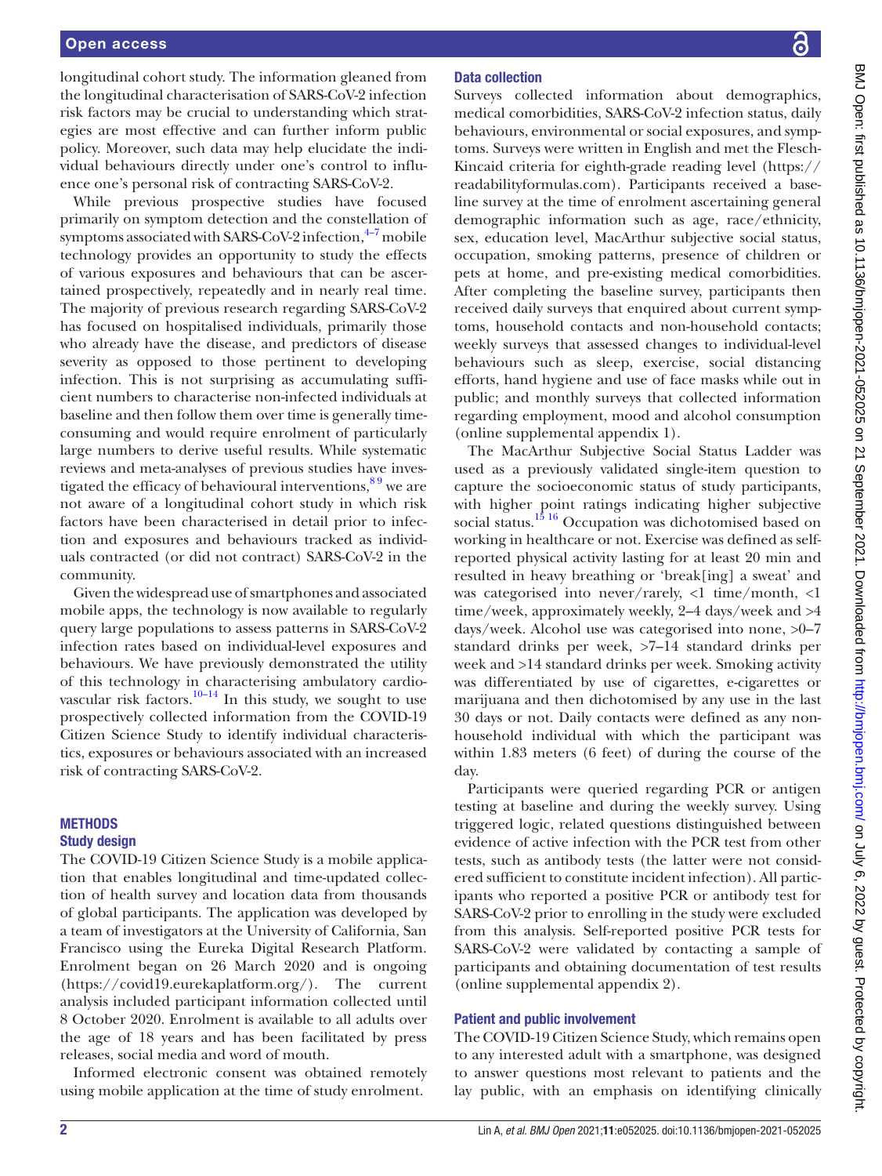#### Open access

longitudinal cohort study. The information gleaned from the longitudinal characterisation of SARS-CoV-2 infection risk factors may be crucial to understanding which strategies are most effective and can further inform public policy. Moreover, such data may help elucidate the individual behaviours directly under one's control to influence one's personal risk of contracting SARS-CoV-2.

While previous prospective studies have focused primarily on symptom detection and the constellation of symptoms associated with SARS-CoV-2 infection, $4\overline{4}$  mobile technology provides an opportunity to study the effects of various exposures and behaviours that can be ascertained prospectively, repeatedly and in nearly real time. The majority of previous research regarding SARS-CoV-2 has focused on hospitalised individuals, primarily those who already have the disease, and predictors of disease severity as opposed to those pertinent to developing infection. This is not surprising as accumulating sufficient numbers to characterise non-infected individuals at baseline and then follow them over time is generally timeconsuming and would require enrolment of particularly large numbers to derive useful results. While systematic reviews and meta-analyses of previous studies have investigated the efficacy of behavioural interventions,  $89$  we are not aware of a longitudinal cohort study in which risk factors have been characterised in detail prior to infection and exposures and behaviours tracked as individuals contracted (or did not contract) SARS-CoV-2 in the community.

Given the widespread use of smartphones and associated mobile apps, the technology is now available to regularly query large populations to assess patterns in SARS-CoV-2 infection rates based on individual-level exposures and behaviours. We have previously demonstrated the utility of this technology in characterising ambulatory cardio-vascular risk factors.<sup>[10–14](#page-9-3)</sup> In this study, we sought to use prospectively collected information from the COVID-19 Citizen Science Study to identify individual characteristics, exposures or behaviours associated with an increased risk of contracting SARS-CoV-2.

#### **METHODS**

#### Study design

The COVID-19 Citizen Science Study is a mobile application that enables longitudinal and time-updated collection of health survey and location data from thousands of global participants. The application was developed by a team of investigators at the University of California, San Francisco using the Eureka Digital Research Platform. Enrolment began on 26 March 2020 and is ongoing ([https://covid19.eurekaplatform.org/\)](https://covid19.eurekaplatform.org/). The current analysis included participant information collected until 8 October 2020. Enrolment is available to all adults over the age of 18 years and has been facilitated by press releases, social media and word of mouth.

Informed electronic consent was obtained remotely using mobile application at the time of study enrolment.

# Data collection

Surveys collected information about demographics, medical comorbidities, SARS-CoV-2 infection status, daily behaviours, environmental or social exposures, and symptoms. Surveys were written in English and met the Flesch-Kincaid criteria for eighth-grade reading level ([https://](https://readabilityformulas.com) [readabilityformulas.com](https://readabilityformulas.com)). Participants received a baseline survey at the time of enrolment ascertaining general demographic information such as age, race/ethnicity, sex, education level, MacArthur subjective social status, occupation, smoking patterns, presence of children or pets at home, and pre-existing medical comorbidities. After completing the baseline survey, participants then received daily surveys that enquired about current symptoms, household contacts and non-household contacts; weekly surveys that assessed changes to individual-level behaviours such as sleep, exercise, social distancing efforts, hand hygiene and use of face masks while out in public; and monthly surveys that collected information regarding employment, mood and alcohol consumption [\(online supplemental appendix 1\)](https://dx.doi.org/10.1136/bmjopen-2021-052025).

The MacArthur Subjective Social Status Ladder was used as a previously validated single-item question to capture the socioeconomic status of study participants, with higher point ratings indicating higher subjective social status.<sup>15 16</sup> Occupation was dichotomised based on working in healthcare or not. Exercise was defined as selfreported physical activity lasting for at least 20 min and resulted in heavy breathing or 'break[ing] a sweat' and was categorised into never/rarely, <1 time/month, <1 time/week, approximately weekly, 2–4 days/week and >4 days/week. Alcohol use was categorised into none, >0–7 standard drinks per week, >7–14 standard drinks per week and >14 standard drinks per week. Smoking activity was differentiated by use of cigarettes, e-cigarettes or marijuana and then dichotomised by any use in the last 30 days or not. Daily contacts were defined as any nonhousehold individual with which the participant was within 1.83 meters (6 feet) of during the course of the day.

Participants were queried regarding PCR or antigen testing at baseline and during the weekly survey. Using triggered logic, related questions distinguished between evidence of active infection with the PCR test from other tests, such as antibody tests (the latter were not considered sufficient to constitute incident infection). All participants who reported a positive PCR or antibody test for SARS-CoV-2 prior to enrolling in the study were excluded from this analysis. Self-reported positive PCR tests for SARS-CoV-2 were validated by contacting a sample of participants and obtaining documentation of test results [\(online supplemental appendix 2\)](https://dx.doi.org/10.1136/bmjopen-2021-052025).

# Patient and public involvement

The COVID-19 Citizen Science Study, which remains open to any interested adult with a smartphone, was designed to answer questions most relevant to patients and the lay public, with an emphasis on identifying clinically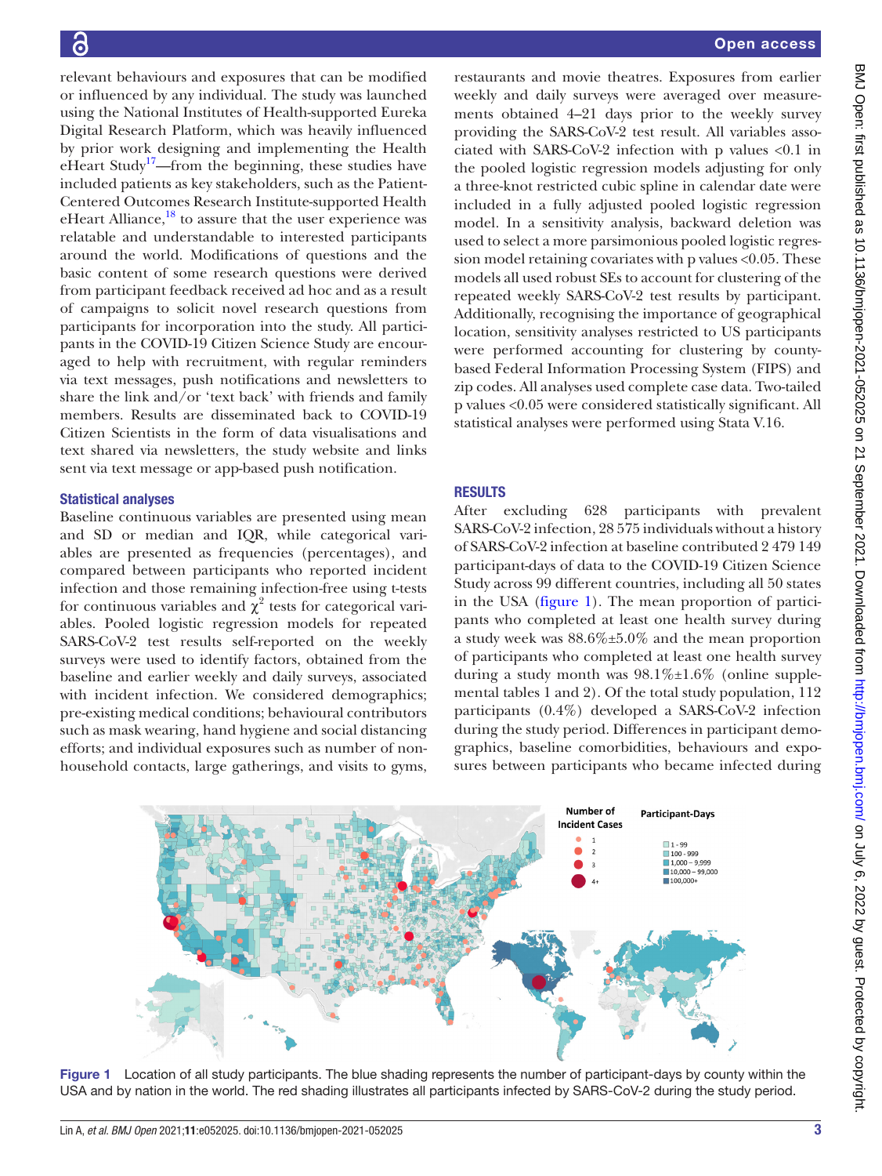relevant behaviours and exposures that can be modified or influenced by any individual. The study was launched using the National Institutes of Health-supported Eureka Digital Research Platform, which was heavily influenced by prior work designing and implementing the Health eHeart Study<sup>[17](#page-9-5)</sup>—from the beginning, these studies have included patients as key stakeholders, such as the Patient-Centered Outcomes Research Institute-supported Health eHeart Alliance, $18$  to assure that the user experience was relatable and understandable to interested participants around the world. Modifications of questions and the basic content of some research questions were derived from participant feedback received ad hoc and as a result of campaigns to solicit novel research questions from participants for incorporation into the study. All participants in the COVID-19 Citizen Science Study are encouraged to help with recruitment, with regular reminders via text messages, push notifications and newsletters to share the link and/or 'text back' with friends and family members. Results are disseminated back to COVID-19 Citizen Scientists in the form of data visualisations and text shared via newsletters, the study website and links sent via text message or app-based push notification.

# Statistical analyses

Baseline continuous variables are presented using mean and SD or median and IQR, while categorical variables are presented as frequencies (percentages), and compared between participants who reported incident infection and those remaining infection-free using t-tests for continuous variables and  $\chi^2$  tests for categorical variables. Pooled logistic regression models for repeated SARS-CoV-2 test results self-reported on the weekly surveys were used to identify factors, obtained from the baseline and earlier weekly and daily surveys, associated with incident infection. We considered demographics; pre-existing medical conditions; behavioural contributors such as mask wearing, hand hygiene and social distancing efforts; and individual exposures such as number of nonhousehold contacts, large gatherings, and visits to gyms,

restaurants and movie theatres. Exposures from earlier weekly and daily surveys were averaged over measurements obtained 4–21 days prior to the weekly survey providing the SARS-CoV-2 test result. All variables associated with SARS-CoV-2 infection with p values <0.1 in the pooled logistic regression models adjusting for only a three-knot restricted cubic spline in calendar date were included in a fully adjusted pooled logistic regression model. In a sensitivity analysis, backward deletion was used to select a more parsimonious pooled logistic regression model retaining covariates with p values <0.05. These models all used robust SEs to account for clustering of the repeated weekly SARS-CoV-2 test results by participant. Additionally, recognising the importance of geographical location, sensitivity analyses restricted to US participants were performed accounting for clustering by countybased Federal Information Processing System (FIPS) and zip codes. All analyses used complete case data. Two-tailed p values <0.05 were considered statistically significant. All statistical analyses were performed using Stata V.16.

# **RESULTS**

After excluding 628 participants with prevalent SARS-CoV-2 infection, 28 575 individuals without a history of SARS-CoV-2 infection at baseline contributed 2 479 149 participant-days of data to the COVID-19 Citizen Science Study across 99 different countries, including all 50 states in the USA ([figure](#page-2-0) 1). The mean proportion of participants who completed at least one health survey during a study week was 88.6%±5.0% and the mean proportion of participants who completed at least one health survey during a study month was  $98.1\% \pm 1.6\%$  [\(online supple](https://dx.doi.org/10.1136/bmjopen-2021-052025)[mental tables 1 and 2](https://dx.doi.org/10.1136/bmjopen-2021-052025)). Of the total study population, 112 participants (0.4%) developed a SARS-CoV-2 infection during the study period. Differences in participant demographics, baseline comorbidities, behaviours and exposures between participants who became infected during



<span id="page-2-0"></span>Figure 1 Location of all study participants. The blue shading represents the number of participant-days by county within the USA and by nation in the world. The red shading illustrates all participants infected by SARS-CoV-2 during the study period.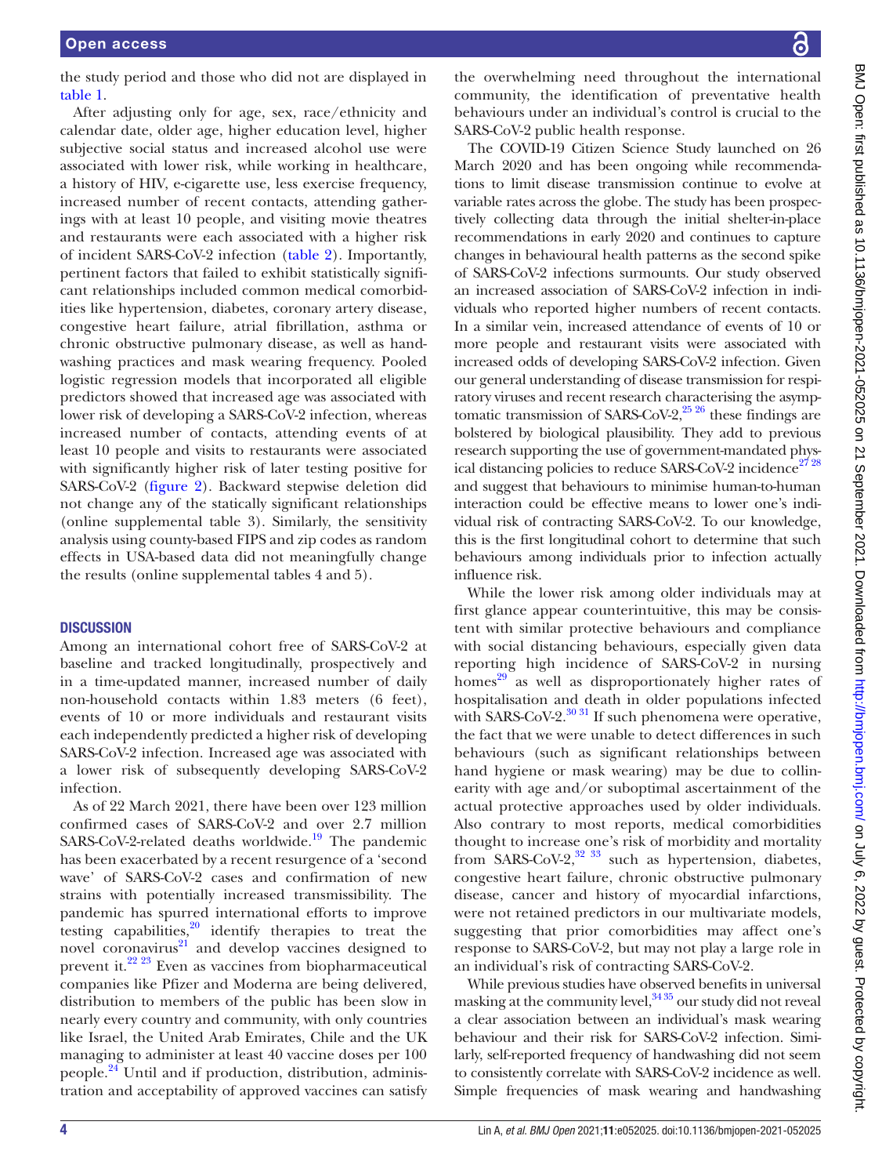the study period and those who did not are displayed in [table](#page-4-0) 1.

After adjusting only for age, sex, race/ethnicity and calendar date, older age, higher education level, higher subjective social status and increased alcohol use were associated with lower risk, while working in healthcare, a history of HIV, e-cigarette use, less exercise frequency, increased number of recent contacts, attending gatherings with at least 10 people, and visiting movie theatres and restaurants were each associated with a higher risk of incident SARS-CoV-2 infection [\(table](#page-6-0) 2). Importantly, pertinent factors that failed to exhibit statistically significant relationships included common medical comorbidities like hypertension, diabetes, coronary artery disease, congestive heart failure, atrial fibrillation, asthma or chronic obstructive pulmonary disease, as well as handwashing practices and mask wearing frequency. Pooled logistic regression models that incorporated all eligible predictors showed that increased age was associated with lower risk of developing a SARS-CoV-2 infection, whereas increased number of contacts, attending events of at least 10 people and visits to restaurants were associated with significantly higher risk of later testing positive for SARS-CoV-2 [\(figure](#page-8-0) 2). Backward stepwise deletion did not change any of the statically significant relationships ([online supplemental table 3](https://dx.doi.org/10.1136/bmjopen-2021-052025)). Similarly, the sensitivity analysis using county-based FIPS and zip codes as random effects in USA-based data did not meaningfully change the results [\(online supplemental tables 4 and 5\)](https://dx.doi.org/10.1136/bmjopen-2021-052025).

#### **DISCUSSION**

Among an international cohort free of SARS-CoV-2 at baseline and tracked longitudinally, prospectively and in a time-updated manner, increased number of daily non-household contacts within 1.83 meters (6 feet), events of 10 or more individuals and restaurant visits each independently predicted a higher risk of developing SARS-CoV-2 infection. Increased age was associated with a lower risk of subsequently developing SARS-CoV-2 infection.

As of 22 March 2021, there have been over 123 million confirmed cases of SARS-CoV-2 and over 2.7 million  $SARS-CoV-2$ -related deaths worldwide.<sup>19</sup> The pandemic has been exacerbated by a recent resurgence of a 'second wave' of SARS-CoV-2 cases and confirmation of new strains with potentially increased transmissibility. The pandemic has spurred international efforts to improve testing capabilities, $20$  identify therapies to treat the novel coronavirus $2^1$  and develop vaccines designed to prevent it.[22 23](#page-9-10) Even as vaccines from biopharmaceutical companies like Pfizer and Moderna are being delivered, distribution to members of the public has been slow in nearly every country and community, with only countries like Israel, the United Arab Emirates, Chile and the UK managing to administer at least 40 vaccine doses per 100 people[.24](#page-9-11) Until and if production, distribution, administration and acceptability of approved vaccines can satisfy

the overwhelming need throughout the international community, the identification of preventative health behaviours under an individual's control is crucial to the SARS-CoV-2 public health response.

The COVID-19 Citizen Science Study launched on 26 March 2020 and has been ongoing while recommendations to limit disease transmission continue to evolve at variable rates across the globe. The study has been prospectively collecting data through the initial shelter-in-place recommendations in early 2020 and continues to capture changes in behavioural health patterns as the second spike of SARS-CoV-2 infections surmounts. Our study observed an increased association of SARS-CoV-2 infection in individuals who reported higher numbers of recent contacts. In a similar vein, increased attendance of events of 10 or more people and restaurant visits were associated with increased odds of developing SARS-CoV-2 infection. Given our general understanding of disease transmission for respiratory viruses and recent research characterising the asymptomatic transmission of SARS-CoV-2, $^{25\,26}$  these findings are bolstered by biological plausibility. They add to previous research supporting the use of government-mandated phys-ical distancing policies to reduce SARS-CoV-2 incidence<sup>[27 28](#page-9-13)</sup> and suggest that behaviours to minimise human-to-human interaction could be effective means to lower one's individual risk of contracting SARS-CoV-2. To our knowledge, this is the first longitudinal cohort to determine that such behaviours among individuals prior to infection actually influence risk.

While the lower risk among older individuals may at first glance appear counterintuitive, this may be consistent with similar protective behaviours and compliance with social distancing behaviours, especially given data reporting high incidence of SARS-CoV-2 in nursing homes $^{29}$  as well as disproportionately higher rates of hospitalisation and death in older populations infected with SARS-CoV-2.<sup>[30 31](#page-9-15)</sup> If such phenomena were operative, the fact that we were unable to detect differences in such behaviours (such as significant relationships between hand hygiene or mask wearing) may be due to collinearity with age and/or suboptimal ascertainment of the actual protective approaches used by older individuals. Also contrary to most reports, medical comorbidities thought to increase one's risk of morbidity and mortality from SARS-CoV-2, $32\,33$  such as hypertension, diabetes, congestive heart failure, chronic obstructive pulmonary disease, cancer and history of myocardial infarctions, were not retained predictors in our multivariate models, suggesting that prior comorbidities may affect one's response to SARS-CoV-2, but may not play a large role in an individual's risk of contracting SARS-CoV-2.

While previous studies have observed benefits in universal masking at the community level,  $3435$  our study did not reveal a clear association between an individual's mask wearing behaviour and their risk for SARS-CoV-2 infection. Similarly, self-reported frequency of handwashing did not seem to consistently correlate with SARS-CoV-2 incidence as well. Simple frequencies of mask wearing and handwashing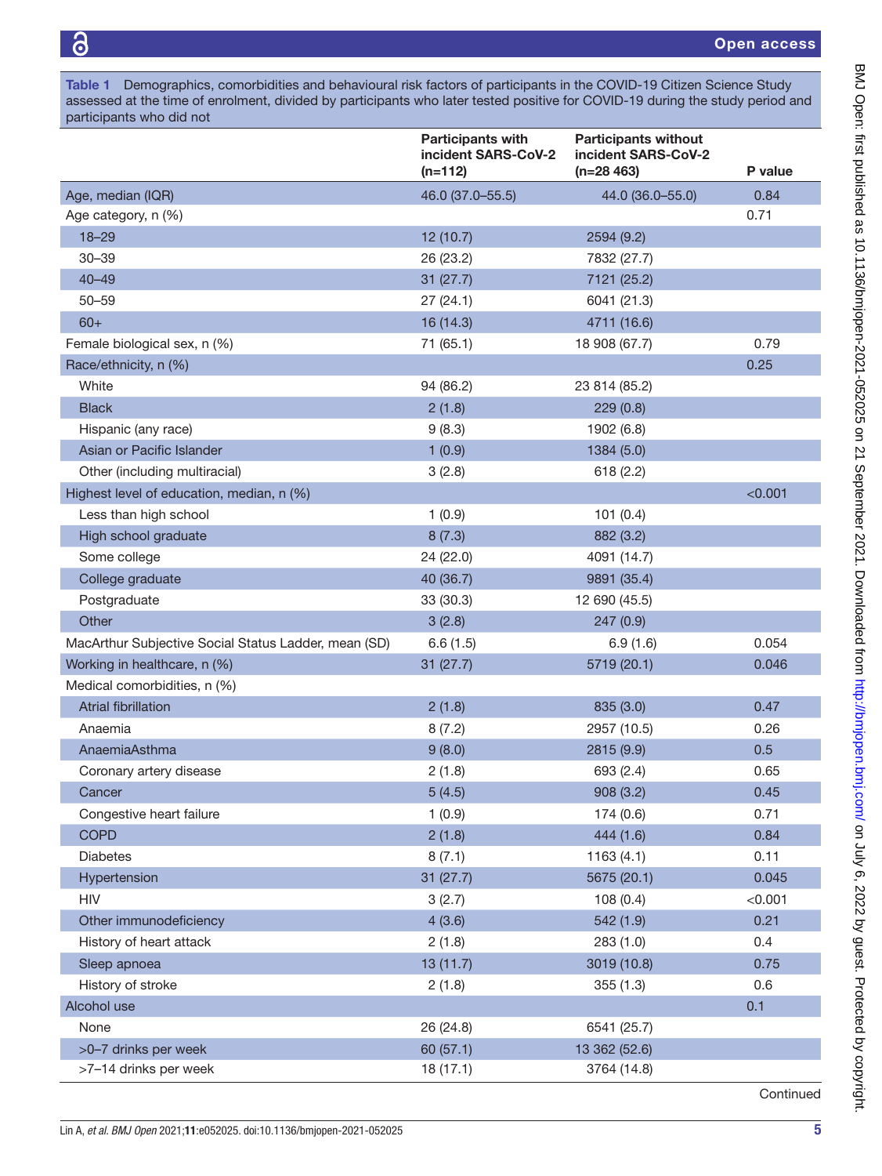<span id="page-4-0"></span>Table 1 Demographics, comorbidities and behavioural risk factors of participants in the COVID-19 Citizen Science Study assessed at the time of enrolment, divided by participants who later tested positive for COVID-19 during the study period and participants who did not

|                                                      | <b>Participants with</b><br>incident SARS-CoV-2<br>$(n=112)$ | <b>Participants without</b><br>incident SARS-CoV-2<br>$(n=28 463)$ | P value |
|------------------------------------------------------|--------------------------------------------------------------|--------------------------------------------------------------------|---------|
| Age, median (IQR)                                    | 46.0 (37.0-55.5)                                             | 44.0 (36.0-55.0)                                                   | 0.84    |
| Age category, n (%)                                  |                                                              |                                                                    | 0.71    |
| $18 - 29$                                            | 12 (10.7)                                                    | 2594 (9.2)                                                         |         |
| $30 - 39$                                            | 26 (23.2)                                                    | 7832 (27.7)                                                        |         |
| $40 - 49$                                            | 31(27.7)                                                     | 7121 (25.2)                                                        |         |
| $50 - 59$                                            | 27(24.1)                                                     | 6041 (21.3)                                                        |         |
| $60+$                                                | 16 (14.3)                                                    | 4711 (16.6)                                                        |         |
| Female biological sex, n (%)                         | 71 (65.1)                                                    | 18 908 (67.7)                                                      | 0.79    |
| Race/ethnicity, n (%)                                |                                                              |                                                                    | 0.25    |
| White                                                | 94 (86.2)                                                    | 23 814 (85.2)                                                      |         |
| <b>Black</b>                                         | 2(1.8)                                                       | 229(0.8)                                                           |         |
| Hispanic (any race)                                  | 9(8.3)                                                       | 1902 (6.8)                                                         |         |
| Asian or Pacific Islander                            | 1(0.9)                                                       | 1384 (5.0)                                                         |         |
| Other (including multiracial)                        | 3(2.8)                                                       | 618(2.2)                                                           |         |
| Highest level of education, median, n (%)            |                                                              |                                                                    | < 0.001 |
| Less than high school                                | 1(0.9)                                                       | 101(0.4)                                                           |         |
| High school graduate                                 | 8(7.3)                                                       | 882 (3.2)                                                          |         |
| Some college                                         | 24 (22.0)                                                    | 4091 (14.7)                                                        |         |
| College graduate                                     | 40 (36.7)                                                    | 9891 (35.4)                                                        |         |
| Postgraduate                                         | 33 (30.3)                                                    | 12 690 (45.5)                                                      |         |
| Other                                                | 3(2.8)                                                       | 247(0.9)                                                           |         |
| MacArthur Subjective Social Status Ladder, mean (SD) | 6.6(1.5)                                                     | 6.9(1.6)                                                           | 0.054   |
| Working in healthcare, n (%)                         | 31(27.7)                                                     | 5719 (20.1)                                                        | 0.046   |
| Medical comorbidities, n (%)                         |                                                              |                                                                    |         |
| <b>Atrial fibrillation</b>                           | 2(1.8)                                                       | 835 (3.0)                                                          | 0.47    |
| Anaemia                                              | 8(7.2)                                                       | 2957 (10.5)                                                        | 0.26    |
| AnaemiaAsthma                                        | 9(8.0)                                                       | 2815 (9.9)                                                         | 0.5     |
| Coronary artery disease                              | 2(1.8)                                                       | 693 (2.4)                                                          | 0.65    |
| Cancer                                               | 5(4.5)                                                       | 908 (3.2)                                                          | 0.45    |
| Congestive heart failure                             | 1(0.9)                                                       | 174 (0.6)                                                          | 0.71    |
| <b>COPD</b>                                          | 2(1.8)                                                       | 444 (1.6)                                                          | 0.84    |
| <b>Diabetes</b>                                      | 8(7.1)                                                       | 1163(4.1)                                                          | 0.11    |
| Hypertension                                         | 31(27.7)                                                     | 5675 (20.1)                                                        | 0.045   |
| <b>HIV</b>                                           | 3(2.7)                                                       | 108(0.4)                                                           | < 0.001 |
| Other immunodeficiency                               | 4(3.6)                                                       | 542 (1.9)                                                          | 0.21    |
| History of heart attack                              | 2(1.8)                                                       | 283 (1.0)                                                          | 0.4     |
| Sleep apnoea                                         | 13 (11.7)                                                    | 3019 (10.8)                                                        | 0.75    |
| History of stroke                                    | 2(1.8)                                                       | 355(1.3)                                                           | 0.6     |
| Alcohol use                                          |                                                              |                                                                    | 0.1     |
| None                                                 | 26 (24.8)                                                    | 6541 (25.7)                                                        |         |
| >0-7 drinks per week                                 | 60 (57.1)                                                    | 13 362 (52.6)                                                      |         |
| >7-14 drinks per week                                | 18(17.1)                                                     | 3764 (14.8)                                                        |         |

**Continued**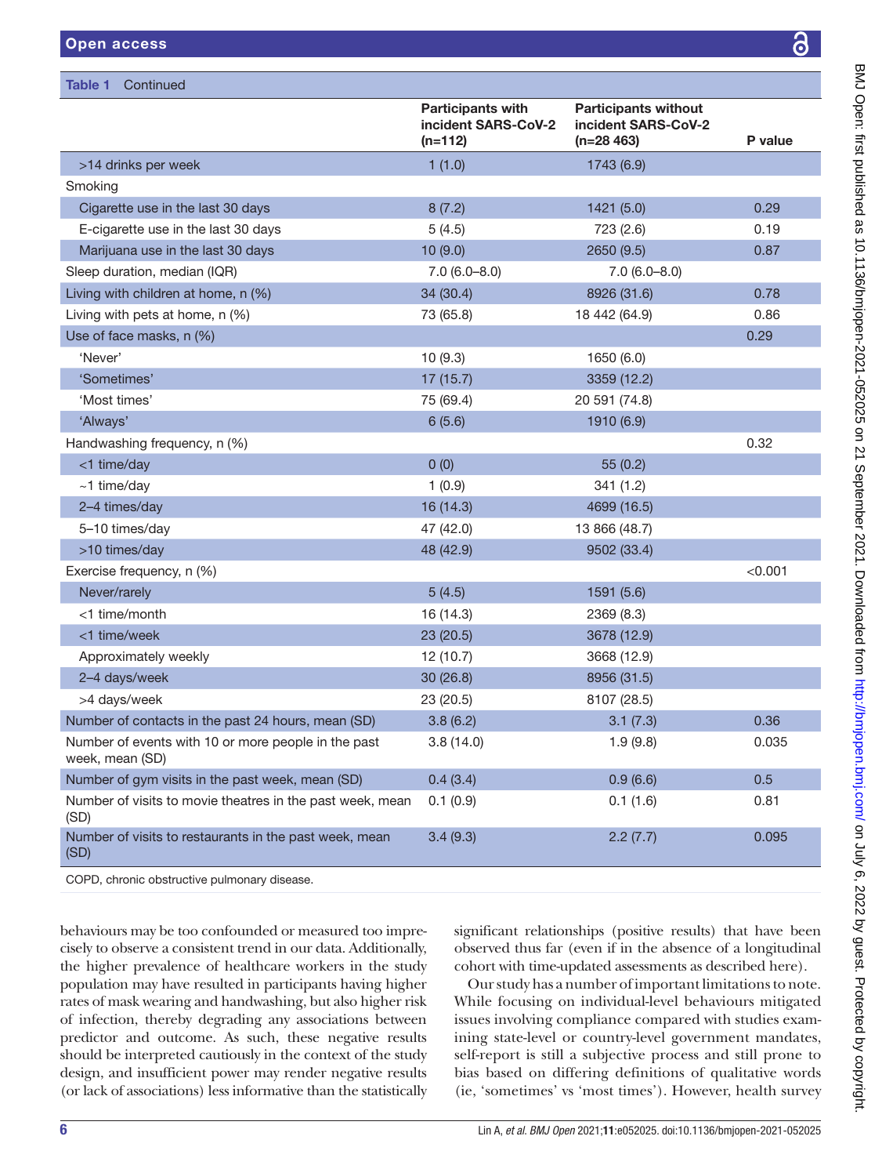| Table 1<br>Continued                                                   |                                                              |                                                                    |         |  |
|------------------------------------------------------------------------|--------------------------------------------------------------|--------------------------------------------------------------------|---------|--|
|                                                                        | <b>Participants with</b><br>incident SARS-CoV-2<br>$(n=112)$ | <b>Participants without</b><br>incident SARS-CoV-2<br>$(n=28 463)$ | P value |  |
| >14 drinks per week                                                    | 1(1.0)                                                       | 1743 (6.9)                                                         |         |  |
| Smoking                                                                |                                                              |                                                                    |         |  |
| Cigarette use in the last 30 days                                      | 8(7.2)                                                       | 1421 (5.0)                                                         | 0.29    |  |
| E-cigarette use in the last 30 days                                    | 5(4.5)                                                       | 723 (2.6)                                                          | 0.19    |  |
| Marijuana use in the last 30 days                                      | 10(9.0)                                                      | 2650 (9.5)                                                         | 0.87    |  |
| Sleep duration, median (IQR)                                           | $7.0(6.0 - 8.0)$                                             | $7.0(6.0 - 8.0)$                                                   |         |  |
| Living with children at home, n (%)                                    | 34 (30.4)                                                    | 8926 (31.6)                                                        | 0.78    |  |
| Living with pets at home, n (%)                                        | 73 (65.8)                                                    | 18 442 (64.9)                                                      | 0.86    |  |
| Use of face masks, n (%)                                               |                                                              |                                                                    | 0.29    |  |
| 'Never'                                                                | 10(9.3)                                                      | 1650 (6.0)                                                         |         |  |
| 'Sometimes'                                                            | 17(15.7)                                                     | 3359 (12.2)                                                        |         |  |
| 'Most times'                                                           | 75 (69.4)                                                    | 20 591 (74.8)                                                      |         |  |
| 'Always'                                                               | 6(5.6)                                                       | 1910 (6.9)                                                         |         |  |
| Handwashing frequency, n (%)                                           |                                                              |                                                                    | 0.32    |  |
| <1 time/day                                                            | 0(0)                                                         | 55(0.2)                                                            |         |  |
| $~1$ time/day                                                          | 1(0.9)                                                       | 341 (1.2)                                                          |         |  |
| 2-4 times/day                                                          | 16 (14.3)                                                    | 4699 (16.5)                                                        |         |  |
| 5-10 times/day                                                         | 47 (42.0)                                                    | 13 866 (48.7)                                                      |         |  |
| >10 times/day                                                          | 48 (42.9)                                                    | 9502 (33.4)                                                        |         |  |
| Exercise frequency, n (%)                                              |                                                              |                                                                    | < 0.001 |  |
| Never/rarely                                                           | 5(4.5)                                                       | 1591 (5.6)                                                         |         |  |
| <1 time/month                                                          | 16 (14.3)                                                    | 2369 (8.3)                                                         |         |  |
| <1 time/week                                                           | 23 (20.5)                                                    | 3678 (12.9)                                                        |         |  |
| Approximately weekly                                                   | 12(10.7)                                                     | 3668 (12.9)                                                        |         |  |
| 2-4 days/week                                                          | 30(26.8)                                                     | 8956 (31.5)                                                        |         |  |
| >4 days/week                                                           | 23 (20.5)                                                    | 8107 (28.5)                                                        |         |  |
| Number of contacts in the past 24 hours, mean (SD)                     | 3.8(6.2)                                                     | 3.1(7.3)                                                           | 0.36    |  |
| Number of events with 10 or more people in the past<br>week, mean (SD) | 3.8(14.0)                                                    | 1.9(9.8)                                                           | 0.035   |  |
| Number of gym visits in the past week, mean (SD)                       | 0.4(3.4)                                                     | 0.9(6.6)                                                           | 0.5     |  |
| Number of visits to movie theatres in the past week, mean<br>(SD)      | 0.1(0.9)                                                     | 0.1(1.6)                                                           | 0.81    |  |
| Number of visits to restaurants in the past week, mean<br>(SD)         | 3.4(9.3)                                                     | 2.2(7.7)                                                           | 0.095   |  |
|                                                                        |                                                              |                                                                    |         |  |

COPD, chronic obstructive pulmonary disease.

behaviours may be too confounded or measured too imprecisely to observe a consistent trend in our data. Additionally, the higher prevalence of healthcare workers in the study population may have resulted in participants having higher rates of mask wearing and handwashing, but also higher risk of infection, thereby degrading any associations between predictor and outcome. As such, these negative results should be interpreted cautiously in the context of the study design, and insufficient power may render negative results (or lack of associations) less informative than the statistically significant relationships (positive results) that have been observed thus far (even if in the absence of a longitudinal cohort with time-updated assessments as described here).

Our study has a number of important limitations to note. While focusing on individual-level behaviours mitigated issues involving compliance compared with studies examining state-level or country-level government mandates, self-report is still a subjective process and still prone to bias based on differing definitions of qualitative words (ie, 'sometimes' vs 'most times'). However, health survey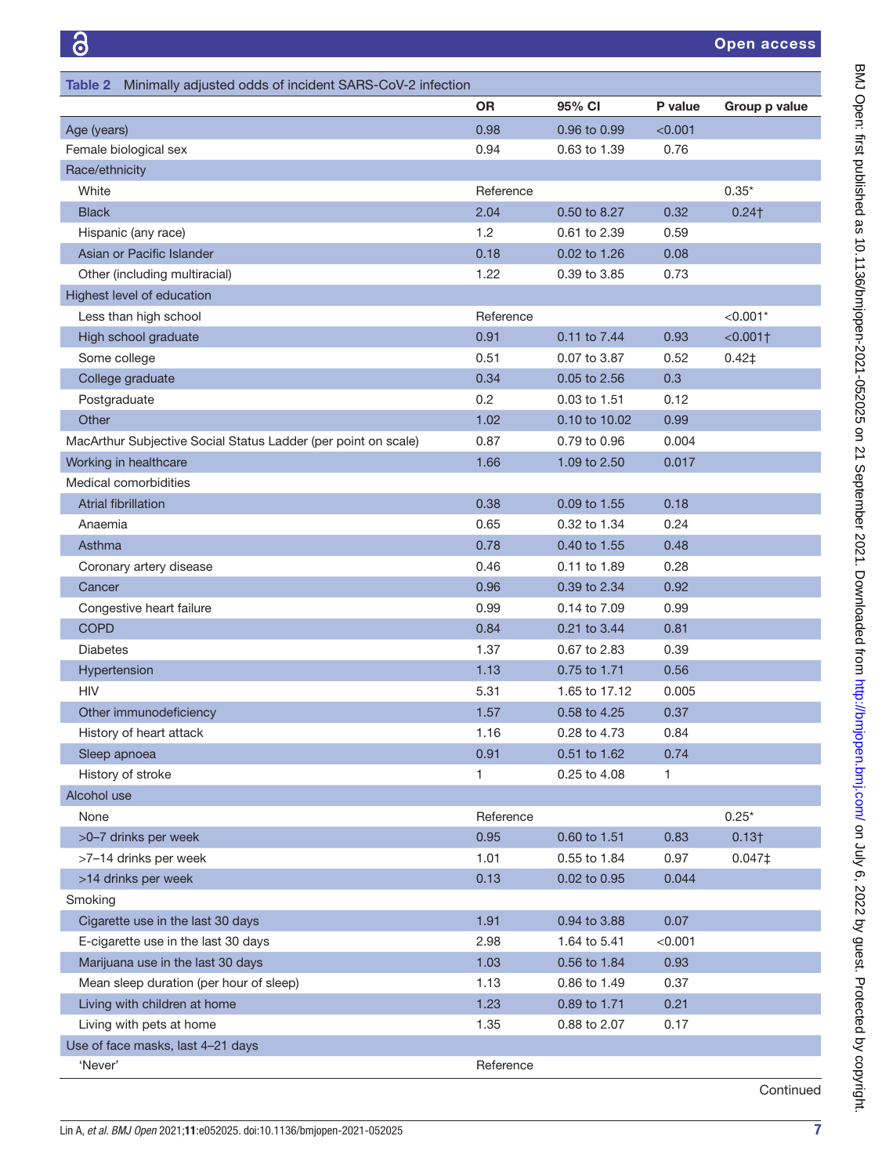<span id="page-6-0"></span>

| Table 2 Minimally adjusted odds of incident SARS-CoV-2 infection |           |               |         |                   |  |
|------------------------------------------------------------------|-----------|---------------|---------|-------------------|--|
|                                                                  | <b>OR</b> | 95% CI        | P value | Group p value     |  |
| Age (years)                                                      | 0.98      | 0.96 to 0.99  | < 0.001 |                   |  |
| Female biological sex                                            | 0.94      | 0.63 to 1.39  | 0.76    |                   |  |
| Race/ethnicity                                                   |           |               |         |                   |  |
| White                                                            | Reference |               |         | $0.35*$           |  |
| <b>Black</b>                                                     | 2.04      | 0.50 to 8.27  | 0.32    | $0.24$ †          |  |
| Hispanic (any race)                                              | 1.2       | 0.61 to 2.39  | 0.59    |                   |  |
| Asian or Pacific Islander                                        | 0.18      | 0.02 to 1.26  | 0.08    |                   |  |
| Other (including multiracial)                                    | 1.22      | 0.39 to 3.85  | 0.73    |                   |  |
| Highest level of education                                       |           |               |         |                   |  |
| Less than high school                                            | Reference |               |         | $< 0.001*$        |  |
| High school graduate                                             | 0.91      | 0.11 to 7.44  | 0.93    | $< 0.001$ †       |  |
| Some college                                                     | 0.51      | 0.07 to 3.87  | 0.52    | $0.42$ ‡          |  |
| College graduate                                                 | 0.34      | 0.05 to 2.56  | 0.3     |                   |  |
| Postgraduate                                                     | 0.2       | 0.03 to 1.51  | 0.12    |                   |  |
| Other                                                            | 1.02      | 0.10 to 10.02 | 0.99    |                   |  |
| MacArthur Subjective Social Status Ladder (per point on scale)   | 0.87      | 0.79 to 0.96  | 0.004   |                   |  |
| Working in healthcare                                            | 1.66      | 1.09 to 2.50  | 0.017   |                   |  |
| Medical comorbidities                                            |           |               |         |                   |  |
| Atrial fibrillation                                              | 0.38      | 0.09 to 1.55  | 0.18    |                   |  |
| Anaemia                                                          | 0.65      | 0.32 to 1.34  | 0.24    |                   |  |
| Asthma                                                           | 0.78      | 0.40 to 1.55  | 0.48    |                   |  |
| Coronary artery disease                                          | 0.46      | 0.11 to 1.89  | 0.28    |                   |  |
| Cancer                                                           | 0.96      | 0.39 to 2.34  | 0.92    |                   |  |
| Congestive heart failure                                         | 0.99      | 0.14 to 7.09  | 0.99    |                   |  |
| <b>COPD</b>                                                      | 0.84      | 0.21 to 3.44  | 0.81    |                   |  |
| <b>Diabetes</b>                                                  | 1.37      | 0.67 to 2.83  | 0.39    |                   |  |
| Hypertension                                                     | 1.13      | 0.75 to 1.71  | 0.56    |                   |  |
| <b>HIV</b>                                                       | 5.31      | 1.65 to 17.12 | 0.005   |                   |  |
| Other immunodeficiency                                           | 1.57      | 0.58 to 4.25  | 0.37    |                   |  |
| History of heart attack                                          | 1.16      | 0.28 to 4.73  | 0.84    |                   |  |
| Sleep apnoea                                                     | 0.91      | 0.51 to 1.62  | 0.74    |                   |  |
| History of stroke                                                | 1.        | 0.25 to 4.08  | 1       |                   |  |
| Alcohol use                                                      |           |               |         |                   |  |
| None                                                             | Reference |               |         | $0.25*$           |  |
| >0-7 drinks per week                                             | 0.95      | 0.60 to 1.51  | 0.83    | 0.13 <sub>†</sub> |  |
| >7-14 drinks per week                                            | 1.01      | 0.55 to 1.84  | 0.97    | $0.047 \ddagger$  |  |
| >14 drinks per week                                              | 0.13      | 0.02 to 0.95  | 0.044   |                   |  |
| Smoking                                                          |           |               |         |                   |  |
| Cigarette use in the last 30 days                                | 1.91      | 0.94 to 3.88  | 0.07    |                   |  |
| E-cigarette use in the last 30 days                              | 2.98      | 1.64 to 5.41  | < 0.001 |                   |  |
| Marijuana use in the last 30 days                                | 1.03      | 0.56 to 1.84  | 0.93    |                   |  |
| Mean sleep duration (per hour of sleep)                          | 1.13      | 0.86 to 1.49  | 0.37    |                   |  |
| Living with children at home                                     | 1.23      | 0.89 to 1.71  | 0.21    |                   |  |
| Living with pets at home                                         | 1.35      | 0.88 to 2.07  | 0.17    |                   |  |
| Use of face masks, last 4-21 days                                |           |               |         |                   |  |
| 'Never'                                                          | Reference |               |         |                   |  |

Continued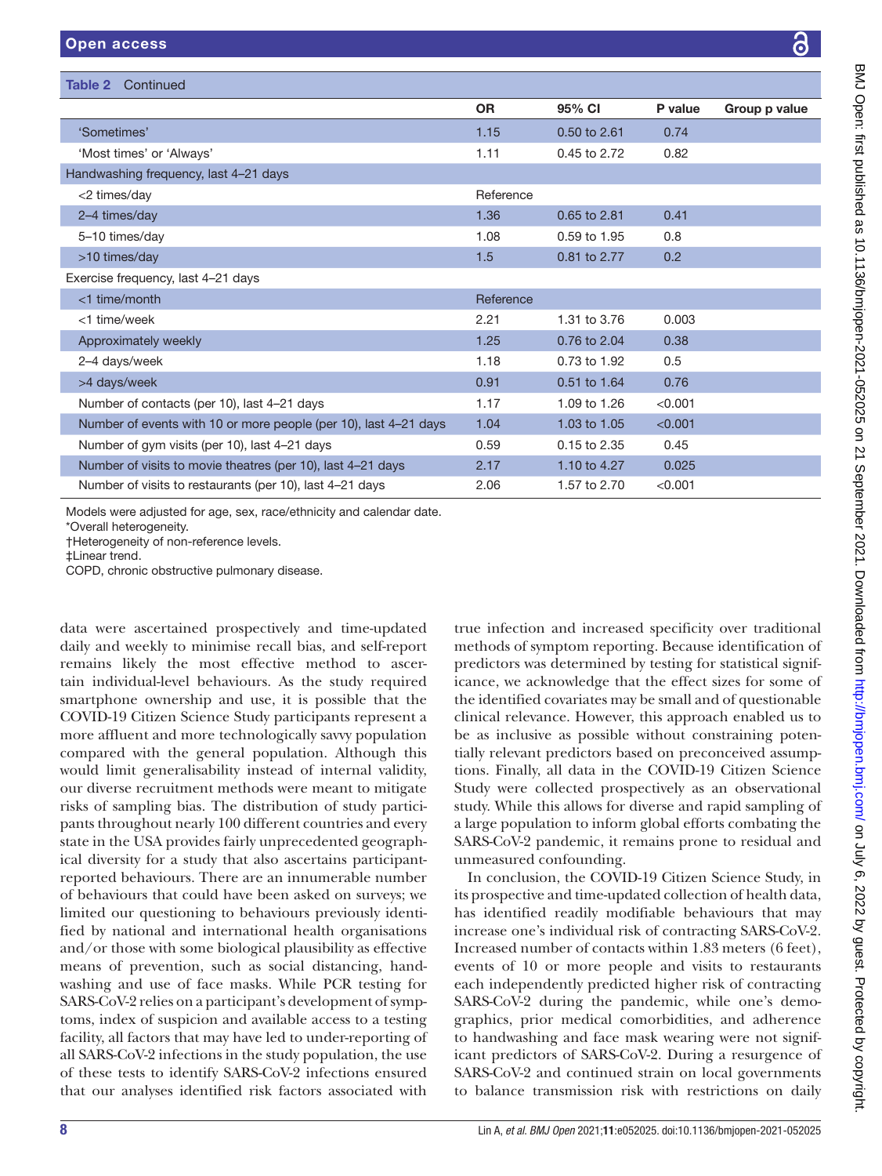Table 2 Continued

|                                                                  | <b>OR</b> | 95% CI       | P value | Group p value |
|------------------------------------------------------------------|-----------|--------------|---------|---------------|
| 'Sometimes'                                                      | 1.15      | 0.50 to 2.61 | 0.74    |               |
| 'Most times' or 'Always'                                         | 1.11      | 0.45 to 2.72 | 0.82    |               |
| Handwashing frequency, last 4-21 days                            |           |              |         |               |
| <2 times/day                                                     | Reference |              |         |               |
| 2-4 times/day                                                    | 1.36      | 0.65 to 2.81 | 0.41    |               |
| 5-10 times/day                                                   | 1.08      | 0.59 to 1.95 | 0.8     |               |
| >10 times/day                                                    | 1.5       | 0.81 to 2.77 | 0.2     |               |
| Exercise frequency, last 4-21 days                               |           |              |         |               |
| <1 time/month                                                    | Reference |              |         |               |
| <1 time/week                                                     | 2.21      | 1.31 to 3.76 | 0.003   |               |
| Approximately weekly                                             | 1.25      | 0.76 to 2.04 | 0.38    |               |
| 2-4 days/week                                                    | 1.18      | 0.73 to 1.92 | 0.5     |               |
| >4 days/week                                                     | 0.91      | 0.51 to 1.64 | 0.76    |               |
| Number of contacts (per 10), last 4-21 days                      | 1.17      | 1.09 to 1.26 | < 0.001 |               |
| Number of events with 10 or more people (per 10), last 4-21 days | 1.04      | 1.03 to 1.05 | < 0.001 |               |
| Number of gym visits (per 10), last 4-21 days                    | 0.59      | 0.15 to 2.35 | 0.45    |               |
| Number of visits to movie theatres (per 10), last 4-21 days      | 2.17      | 1.10 to 4.27 | 0.025   |               |
| Number of visits to restaurants (per 10), last 4-21 days         | 2.06      | 1.57 to 2.70 | < 0.001 |               |

\*Overall heterogeneity.

†Heterogeneity of non-reference levels.

‡Linear trend.

COPD, chronic obstructive pulmonary disease.

data were ascertained prospectively and time-updated daily and weekly to minimise recall bias, and self-report remains likely the most effective method to ascertain individual-level behaviours. As the study required smartphone ownership and use, it is possible that the COVID-19 Citizen Science Study participants represent a more affluent and more technologically savvy population compared with the general population. Although this would limit generalisability instead of internal validity, our diverse recruitment methods were meant to mitigate risks of sampling bias. The distribution of study participants throughout nearly 100 different countries and every state in the USA provides fairly unprecedented geographical diversity for a study that also ascertains participantreported behaviours. There are an innumerable number of behaviours that could have been asked on surveys; we limited our questioning to behaviours previously identified by national and international health organisations and/or those with some biological plausibility as effective means of prevention, such as social distancing, handwashing and use of face masks. While PCR testing for SARS-CoV-2 relies on a participant's development of symptoms, index of suspicion and available access to a testing facility, all factors that may have led to under-reporting of all SARS-CoV-2 infections in the study population, the use of these tests to identify SARS-CoV-2 infections ensured that our analyses identified risk factors associated with

true infection and increased specificity over traditional methods of symptom reporting. Because identification of predictors was determined by testing for statistical significance, we acknowledge that the effect sizes for some of the identified covariates may be small and of questionable clinical relevance. However, this approach enabled us to be as inclusive as possible without constraining potentially relevant predictors based on preconceived assumptions. Finally, all data in the COVID-19 Citizen Science Study were collected prospectively as an observational study. While this allows for diverse and rapid sampling of a large population to inform global efforts combating the SARS-CoV-2 pandemic, it remains prone to residual and unmeasured confounding.

In conclusion, the COVID-19 Citizen Science Study, in its prospective and time-updated collection of health data, has identified readily modifiable behaviours that may increase one's individual risk of contracting SARS-CoV-2. Increased number of contacts within 1.83 meters (6 feet), events of 10 or more people and visits to restaurants each independently predicted higher risk of contracting SARS-CoV-2 during the pandemic, while one's demographics, prior medical comorbidities, and adherence to handwashing and face mask wearing were not significant predictors of SARS-CoV-2. During a resurgence of SARS-CoV-2 and continued strain on local governments to balance transmission risk with restrictions on daily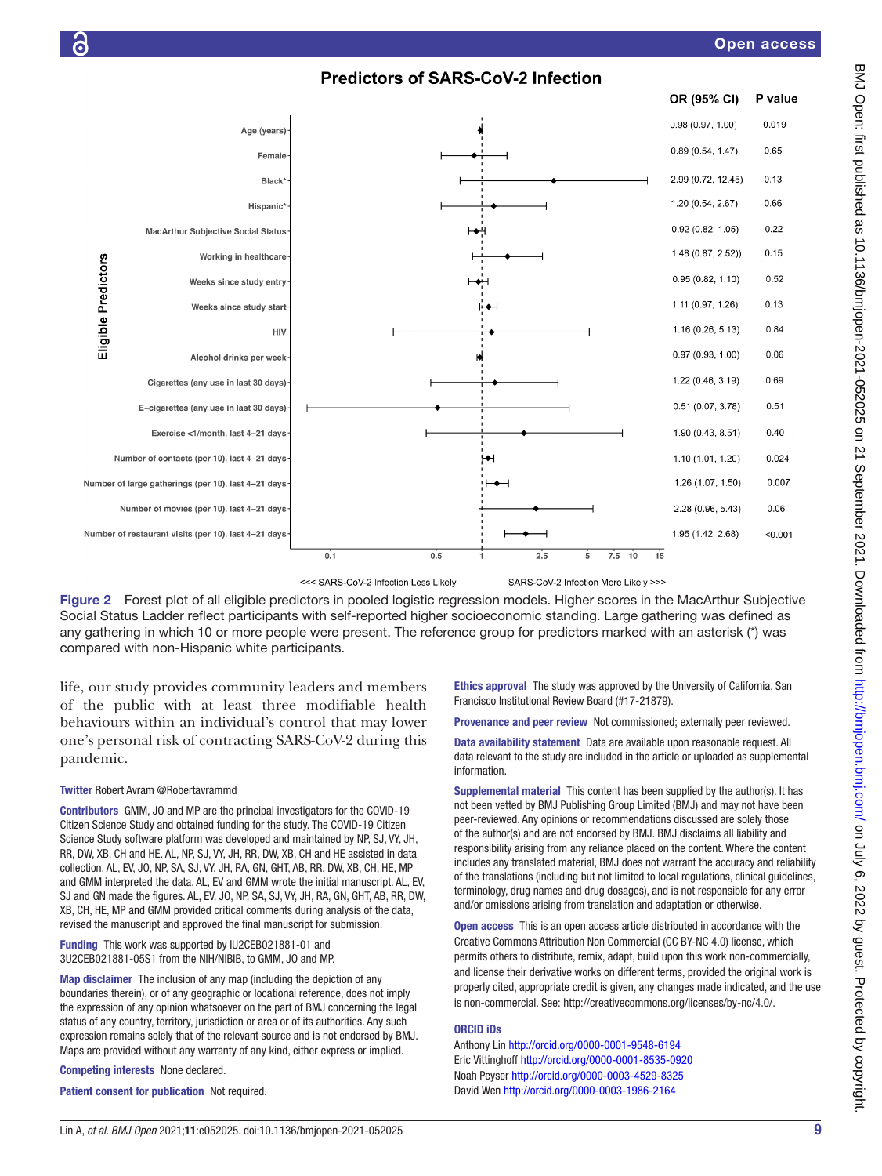



<<< SARS-CoV-2 Infection Less Likely

SARS-CoV-2 Infection More Likely >>>

<span id="page-8-0"></span>Figure 2 Forest plot of all eligible predictors in pooled logistic regression models. Higher scores in the MacArthur Subjective Social Status Ladder reflect participants with self-reported higher socioeconomic standing. Large gathering was defined as any gathering in which 10 or more people were present. The reference group for predictors marked with an asterisk (\*) was compared with non-Hispanic white participants.

life, our study provides community leaders and members of the public with at least three modifiable health behaviours within an individual's control that may lower one's personal risk of contracting SARS-CoV-2 during this pandemic.

# Twitter Robert Avram [@Robertavrammd](https://twitter.com/Robertavrammd)

Contributors GMM, JO and MP are the principal investigators for the COVID-19 Citizen Science Study and obtained funding for the study. The COVID-19 Citizen Science Study software platform was developed and maintained by NP, SJ, VY, JH, RR, DW, XB, CH and HE. AL, NP, SJ, VY, JH, RR, DW, XB, CH and HE assisted in data collection. AL, EV, JO, NP, SA, SJ, VY, JH, RA, GN, GHT, AB, RR, DW, XB, CH, HE, MP and GMM interpreted the data. AL, EV and GMM wrote the initial manuscript. AL, EV, SJ and GN made the figures. AL, EV, JO, NP, SA, SJ, VY, JH, RA, GN, GHT, AB, RR, DW, XB, CH, HE, MP and GMM provided critical comments during analysis of the data, revised the manuscript and approved the final manuscript for submission.

Funding This work was supported by IU2CEB021881-01 and 3U2CEB021881-05S1 from the NIH/NIBIB, to GMM, JO and MP.

Map disclaimer The inclusion of any map (including the depiction of any boundaries therein), or of any geographic or locational reference, does not imply the expression of any opinion whatsoever on the part of BMJ concerning the legal status of any country, territory, jurisdiction or area or of its authorities. Any such expression remains solely that of the relevant source and is not endorsed by BMJ. Maps are provided without any warranty of any kind, either express or implied.

Competing interests None declared.

Patient consent for publication Not required.

Ethics approval The study was approved by the University of California, San Francisco Institutional Review Board (#17-21879).

Provenance and peer review Not commissioned; externally peer reviewed.

Data availability statement Data are available upon reasonable request. All data relevant to the study are included in the article or uploaded as supplemental information.

Supplemental material This content has been supplied by the author(s). It has not been vetted by BMJ Publishing Group Limited (BMJ) and may not have been peer-reviewed. Any opinions or recommendations discussed are solely those of the author(s) and are not endorsed by BMJ. BMJ disclaims all liability and responsibility arising from any reliance placed on the content. Where the content includes any translated material, BMJ does not warrant the accuracy and reliability of the translations (including but not limited to local regulations, clinical guidelines, terminology, drug names and drug dosages), and is not responsible for any error and/or omissions arising from translation and adaptation or otherwise.

Open access This is an open access article distributed in accordance with the Creative Commons Attribution Non Commercial (CC BY-NC 4.0) license, which permits others to distribute, remix, adapt, build upon this work non-commercially, and license their derivative works on different terms, provided the original work is properly cited, appropriate credit is given, any changes made indicated, and the use is non-commercial. See: [http://creativecommons.org/licenses/by-nc/4.0/.](http://creativecommons.org/licenses/by-nc/4.0/)

#### ORCID iDs

Anthony Lin <http://orcid.org/0000-0001-9548-6194> Eric Vittinghoff <http://orcid.org/0000-0001-8535-0920> Noah Peyser <http://orcid.org/0000-0003-4529-8325> David Wen<http://orcid.org/0000-0003-1986-2164>